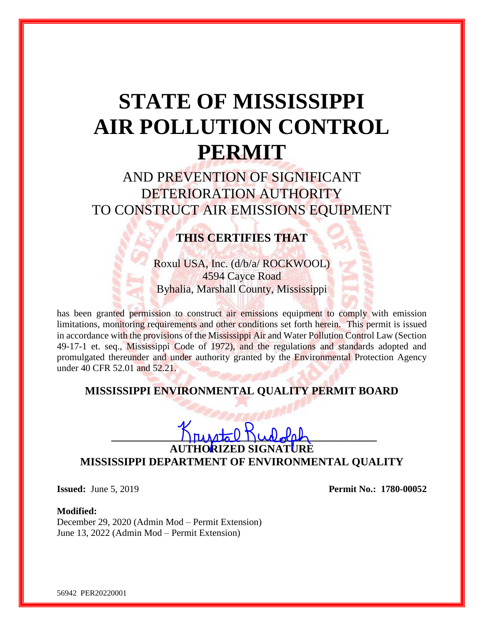# **STATE OF MISSISSIPPI AIR POLLUTION CONTROL PERMIT**

AND PREVENTION OF SIGNIFICANT DETERIORATION AUTHORITY TO CONSTRUCT AIR EMISSIONS EQUIPMENT

## **THIS CERTIFIES THAT**

Roxul USA, Inc. (d/b/a/ ROCKWOOL) 4594 Cayce Road Byhalia, Marshall County, Mississippi

has been granted permission to construct air emissions equipment to comply with emission limitations, monitoring requirements and other conditions set forth herein. This permit is issued in accordance with the provisions of the Mississippi Air and Water Pollution Control Law (Section 49-17-1 et. seq., Mississippi Code of 1972), and the regulations and standards adopted and promulgated thereunder and under authority granted by the Environmental Protection Agency under 40 CFR 52.01 and 52.21.

### **MISSISSIPPI ENVIRONMENTAL QUALITY PERMIT BOARD**

 $\Gamma$ untal  $\Gamma$ untal  $\Gamma$ 

**AUTHORIZED SIGNATURE MISSISSIPPI DEPARTMENT OF ENVIRONMENTAL QUALITY**

**Issued:** June 5, 2019 **Permit No.: 1780-00052** 

#### **Modified:**

December 29, 2020 (Admin Mod – Permit Extension) June 13, 2022 (Admin Mod – Permit Extension)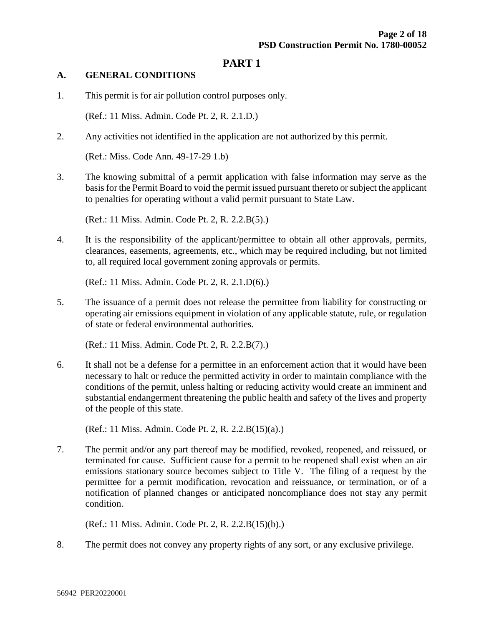## **PART 1**

#### **A. GENERAL CONDITIONS**

1. This permit is for air pollution control purposes only.

(Ref.: 11 Miss. Admin. Code Pt. 2, R. 2.1.D.)

2. Any activities not identified in the application are not authorized by this permit.

(Ref.: Miss. Code Ann. 49-17-29 1.b)

3. The knowing submittal of a permit application with false information may serve as the basis for the Permit Board to void the permit issued pursuant thereto or subject the applicant to penalties for operating without a valid permit pursuant to State Law.

(Ref.: 11 Miss. Admin. Code Pt. 2, R. 2.2.B(5).)

4. It is the responsibility of the applicant/permittee to obtain all other approvals, permits, clearances, easements, agreements, etc., which may be required including, but not limited to, all required local government zoning approvals or permits.

(Ref.: 11 Miss. Admin. Code Pt. 2, R. 2.1.D(6).)

5. The issuance of a permit does not release the permittee from liability for constructing or operating air emissions equipment in violation of any applicable statute, rule, or regulation of state or federal environmental authorities.

(Ref.: 11 Miss. Admin. Code Pt. 2, R. 2.2.B(7).)

6. It shall not be a defense for a permittee in an enforcement action that it would have been necessary to halt or reduce the permitted activity in order to maintain compliance with the conditions of the permit, unless halting or reducing activity would create an imminent and substantial endangerment threatening the public health and safety of the lives and property of the people of this state.

(Ref.: 11 Miss. Admin. Code Pt. 2, R. 2.2.B(15)(a).)

7. The permit and/or any part thereof may be modified, revoked, reopened, and reissued, or terminated for cause. Sufficient cause for a permit to be reopened shall exist when an air emissions stationary source becomes subject to Title V. The filing of a request by the permittee for a permit modification, revocation and reissuance, or termination, or of a notification of planned changes or anticipated noncompliance does not stay any permit condition.

(Ref.: 11 Miss. Admin. Code Pt. 2, R. 2.2.B(15)(b).)

8. The permit does not convey any property rights of any sort, or any exclusive privilege.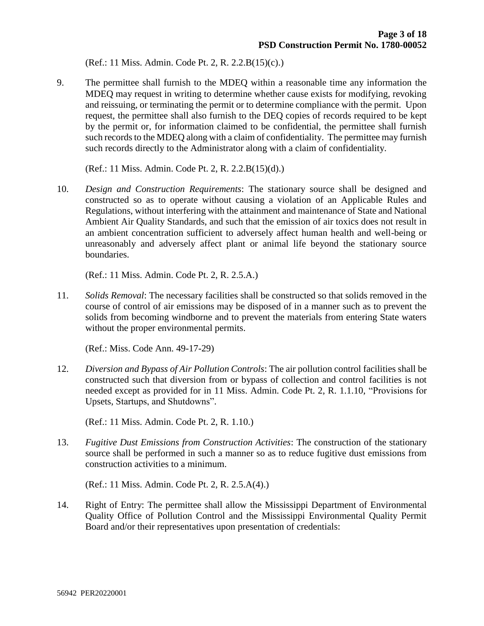(Ref.: 11 Miss. Admin. Code Pt. 2, R. 2.2.B(15)(c).)

9. The permittee shall furnish to the MDEQ within a reasonable time any information the MDEQ may request in writing to determine whether cause exists for modifying, revoking and reissuing, or terminating the permit or to determine compliance with the permit. Upon request, the permittee shall also furnish to the DEQ copies of records required to be kept by the permit or, for information claimed to be confidential, the permittee shall furnish such records to the MDEQ along with a claim of confidentiality. The permittee may furnish such records directly to the Administrator along with a claim of confidentiality.

(Ref.: 11 Miss. Admin. Code Pt. 2, R. 2.2.B(15)(d).)

10. *Design and Construction Requirements*: The stationary source shall be designed and constructed so as to operate without causing a violation of an Applicable Rules and Regulations, without interfering with the attainment and maintenance of State and National Ambient Air Quality Standards, and such that the emission of air toxics does not result in an ambient concentration sufficient to adversely affect human health and well-being or unreasonably and adversely affect plant or animal life beyond the stationary source boundaries.

(Ref.: 11 Miss. Admin. Code Pt. 2, R. 2.5.A.)

11. *Solids Removal*: The necessary facilities shall be constructed so that solids removed in the course of control of air emissions may be disposed of in a manner such as to prevent the solids from becoming windborne and to prevent the materials from entering State waters without the proper environmental permits.

(Ref.: Miss. Code Ann. 49-17-29)

12. *Diversion and Bypass of Air Pollution Controls*: The air pollution control facilities shall be constructed such that diversion from or bypass of collection and control facilities is not needed except as provided for in 11 Miss. Admin. Code Pt. 2, R. 1.1.10, "Provisions for Upsets, Startups, and Shutdowns".

(Ref.: 11 Miss. Admin. Code Pt. 2, R. 1.10.)

13. *Fugitive Dust Emissions from Construction Activities*: The construction of the stationary source shall be performed in such a manner so as to reduce fugitive dust emissions from construction activities to a minimum.

(Ref.: 11 Miss. Admin. Code Pt. 2, R. 2.5.A(4).)

14. Right of Entry: The permittee shall allow the Mississippi Department of Environmental Quality Office of Pollution Control and the Mississippi Environmental Quality Permit Board and/or their representatives upon presentation of credentials: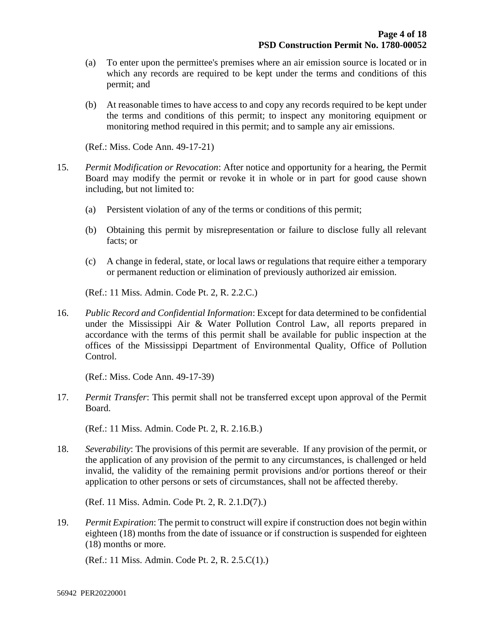- (a) To enter upon the permittee's premises where an air emission source is located or in which any records are required to be kept under the terms and conditions of this permit; and
- (b) At reasonable times to have access to and copy any records required to be kept under the terms and conditions of this permit; to inspect any monitoring equipment or monitoring method required in this permit; and to sample any air emissions.

(Ref.: Miss. Code Ann. 49-17-21)

- 15. *Permit Modification or Revocation*: After notice and opportunity for a hearing, the Permit Board may modify the permit or revoke it in whole or in part for good cause shown including, but not limited to:
	- (a) Persistent violation of any of the terms or conditions of this permit;
	- (b) Obtaining this permit by misrepresentation or failure to disclose fully all relevant facts; or
	- (c) A change in federal, state, or local laws or regulations that require either a temporary or permanent reduction or elimination of previously authorized air emission.

(Ref.: 11 Miss. Admin. Code Pt. 2, R. 2.2.C.)

16. *Public Record and Confidential Information*: Except for data determined to be confidential under the Mississippi Air & Water Pollution Control Law, all reports prepared in accordance with the terms of this permit shall be available for public inspection at the offices of the Mississippi Department of Environmental Quality, Office of Pollution Control.

(Ref.: Miss. Code Ann. 49-17-39)

17. *Permit Transfer*: This permit shall not be transferred except upon approval of the Permit Board.

(Ref.: 11 Miss. Admin. Code Pt. 2, R. 2.16.B.)

18. *Severability*: The provisions of this permit are severable. If any provision of the permit, or the application of any provision of the permit to any circumstances, is challenged or held invalid, the validity of the remaining permit provisions and/or portions thereof or their application to other persons or sets of circumstances, shall not be affected thereby.

(Ref. 11 Miss. Admin. Code Pt. 2, R. 2.1.D(7).)

19. *Permit Expiration*: The permit to construct will expire if construction does not begin within eighteen (18) months from the date of issuance or if construction is suspended for eighteen (18) months or more.

(Ref.: 11 Miss. Admin. Code Pt. 2, R. 2.5.C(1).)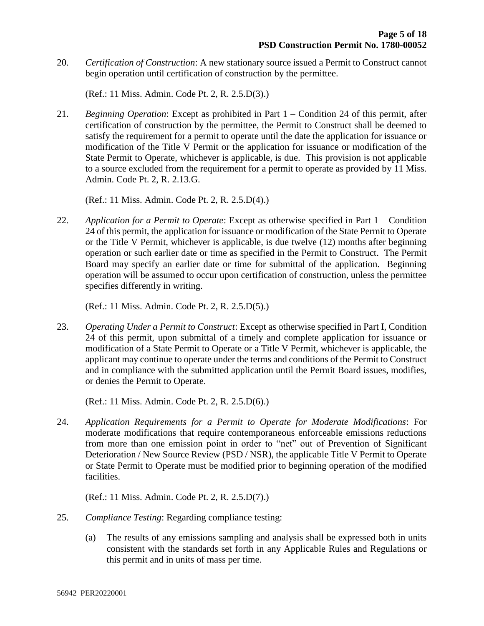20. *Certification of Construction*: A new stationary source issued a Permit to Construct cannot begin operation until certification of construction by the permittee.

(Ref.: 11 Miss. Admin. Code Pt. 2, R. 2.5.D(3).)

21. *Beginning Operation*: Except as prohibited in Part 1 – Condition 24 of this permit, after certification of construction by the permittee, the Permit to Construct shall be deemed to satisfy the requirement for a permit to operate until the date the application for issuance or modification of the Title V Permit or the application for issuance or modification of the State Permit to Operate, whichever is applicable, is due. This provision is not applicable to a source excluded from the requirement for a permit to operate as provided by 11 Miss. Admin. Code Pt. 2, R. 2.13.G.

(Ref.: 11 Miss. Admin. Code Pt. 2, R. 2.5.D(4).)

22. *Application for a Permit to Operate*: Except as otherwise specified in Part 1 – Condition 24 of this permit, the application for issuance or modification of the State Permit to Operate or the Title V Permit, whichever is applicable, is due twelve (12) months after beginning operation or such earlier date or time as specified in the Permit to Construct. The Permit Board may specify an earlier date or time for submittal of the application. Beginning operation will be assumed to occur upon certification of construction, unless the permittee specifies differently in writing.

(Ref.: 11 Miss. Admin. Code Pt. 2, R. 2.5.D(5).)

23. *Operating Under a Permit to Construct*: Except as otherwise specified in Part I, Condition 24 of this permit, upon submittal of a timely and complete application for issuance or modification of a State Permit to Operate or a Title V Permit, whichever is applicable, the applicant may continue to operate under the terms and conditions of the Permit to Construct and in compliance with the submitted application until the Permit Board issues, modifies, or denies the Permit to Operate.

(Ref.: 11 Miss. Admin. Code Pt. 2, R. 2.5.D(6).)

24. *Application Requirements for a Permit to Operate for Moderate Modifications*: For moderate modifications that require contemporaneous enforceable emissions reductions from more than one emission point in order to "net" out of Prevention of Significant Deterioration / New Source Review (PSD / NSR), the applicable Title V Permit to Operate or State Permit to Operate must be modified prior to beginning operation of the modified facilities.

(Ref.: 11 Miss. Admin. Code Pt. 2, R. 2.5.D(7).)

- 25. *Compliance Testing*: Regarding compliance testing:
	- (a) The results of any emissions sampling and analysis shall be expressed both in units consistent with the standards set forth in any Applicable Rules and Regulations or this permit and in units of mass per time.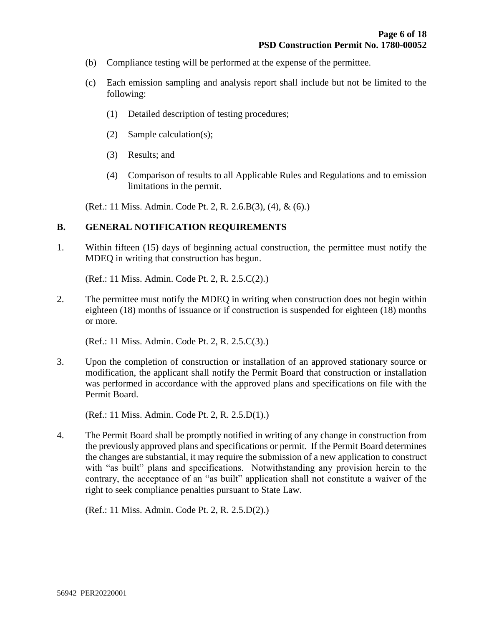- (b) Compliance testing will be performed at the expense of the permittee.
- (c) Each emission sampling and analysis report shall include but not be limited to the following:
	- (1) Detailed description of testing procedures;
	- (2) Sample calculation(s);
	- (3) Results; and
	- (4) Comparison of results to all Applicable Rules and Regulations and to emission limitations in the permit.

(Ref.: 11 Miss. Admin. Code Pt. 2, R. 2.6.B(3), (4), & (6).)

#### **B. GENERAL NOTIFICATION REQUIREMENTS**

1. Within fifteen (15) days of beginning actual construction, the permittee must notify the MDEQ in writing that construction has begun.

(Ref.: 11 Miss. Admin. Code Pt. 2, R. 2.5.C(2).)

2. The permittee must notify the MDEQ in writing when construction does not begin within eighteen (18) months of issuance or if construction is suspended for eighteen (18) months or more.

(Ref.: 11 Miss. Admin. Code Pt. 2, R. 2.5.C(3).)

3. Upon the completion of construction or installation of an approved stationary source or modification, the applicant shall notify the Permit Board that construction or installation was performed in accordance with the approved plans and specifications on file with the Permit Board.

(Ref.: 11 Miss. Admin. Code Pt. 2, R. 2.5.D(1).)

4. The Permit Board shall be promptly notified in writing of any change in construction from the previously approved plans and specifications or permit. If the Permit Board determines the changes are substantial, it may require the submission of a new application to construct with "as built" plans and specifications. Notwithstanding any provision herein to the contrary, the acceptance of an "as built" application shall not constitute a waiver of the right to seek compliance penalties pursuant to State Law.

(Ref.: 11 Miss. Admin. Code Pt. 2, R. 2.5.D(2).)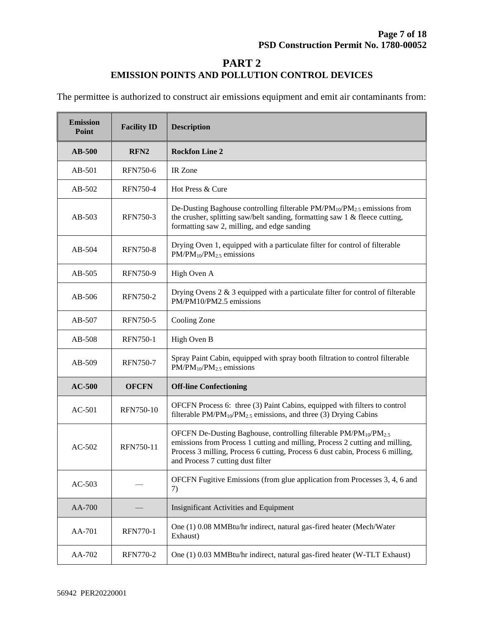## **PART 2 EMISSION POINTS AND POLLUTION CONTROL DEVICES**

The permittee is authorized to construct air emissions equipment and emit air contaminants from:

| <b>Emission</b><br>Point | <b>Facility ID</b> | <b>Description</b>                                                                                                                                                                                                                                                                              |  |
|--------------------------|--------------------|-------------------------------------------------------------------------------------------------------------------------------------------------------------------------------------------------------------------------------------------------------------------------------------------------|--|
| <b>AB-500</b>            | RFN <sub>2</sub>   | <b>Rockfon Line 2</b>                                                                                                                                                                                                                                                                           |  |
| $AB-501$                 | <b>RFN750-6</b>    | IR Zone                                                                                                                                                                                                                                                                                         |  |
| $AB-502$                 | <b>RFN750-4</b>    | Hot Press & Cure                                                                                                                                                                                                                                                                                |  |
| $AB-503$                 | <b>RFN750-3</b>    | De-Dusting Baghouse controlling filterable $PM/PM_{10}/PM_{2.5}$ emissions from<br>the crusher, splitting saw/belt sanding, formatting saw 1 & fleece cutting,<br>formatting saw 2, milling, and edge sanding                                                                                   |  |
| $AB-504$                 | <b>RFN750-8</b>    | Drying Oven 1, equipped with a particulate filter for control of filterable<br>$PM/PM_{10}/PM_{2.5}$ emissions                                                                                                                                                                                  |  |
| $AB-505$                 | <b>RFN750-9</b>    | High Oven A                                                                                                                                                                                                                                                                                     |  |
| AB-506                   | <b>RFN750-2</b>    | Drying Ovens $2 \& 3$ equipped with a particulate filter for control of filterable<br>PM/PM10/PM2.5 emissions                                                                                                                                                                                   |  |
| $AB-507$                 | <b>RFN750-5</b>    | Cooling Zone                                                                                                                                                                                                                                                                                    |  |
| $AB-508$                 | <b>RFN750-1</b>    | High Oven B                                                                                                                                                                                                                                                                                     |  |
| $AB-509$                 | <b>RFN750-7</b>    | Spray Paint Cabin, equipped with spray booth filtration to control filterable<br>$PM/PM_{10}/PM_{2.5}$ emissions                                                                                                                                                                                |  |
| $AC-500$                 | <b>OFCFN</b>       | <b>Off-line Confectioning</b>                                                                                                                                                                                                                                                                   |  |
| $AC-501$                 | RFN750-10          | OFCFN Process 6: three (3) Paint Cabins, equipped with filters to control<br>filterable $PM/PM_{10}/PM_{2.5}$ emissions, and three (3) Drying Cabins                                                                                                                                            |  |
| $AC-502$                 | RFN750-11          | OFCFN De-Dusting Baghouse, controlling filterable PM/PM <sub>10</sub> /PM <sub>2.5</sub><br>emissions from Process 1 cutting and milling, Process 2 cutting and milling,<br>Process 3 milling, Process 6 cutting, Process 6 dust cabin, Process 6 milling,<br>and Process 7 cutting dust filter |  |
| $AC-503$                 |                    | OFCFN Fugitive Emissions (from glue application from Processes 3, 4, 6 and<br>7)                                                                                                                                                                                                                |  |
| AA-700                   |                    | <b>Insignificant Activities and Equipment</b>                                                                                                                                                                                                                                                   |  |
| AA-701                   | <b>RFN770-1</b>    | One (1) 0.08 MMBtu/hr indirect, natural gas-fired heater (Mech/Water<br>Exhaust)                                                                                                                                                                                                                |  |
| AA-702                   | <b>RFN770-2</b>    | One (1) 0.03 MMBtu/hr indirect, natural gas-fired heater (W-TLT Exhaust)                                                                                                                                                                                                                        |  |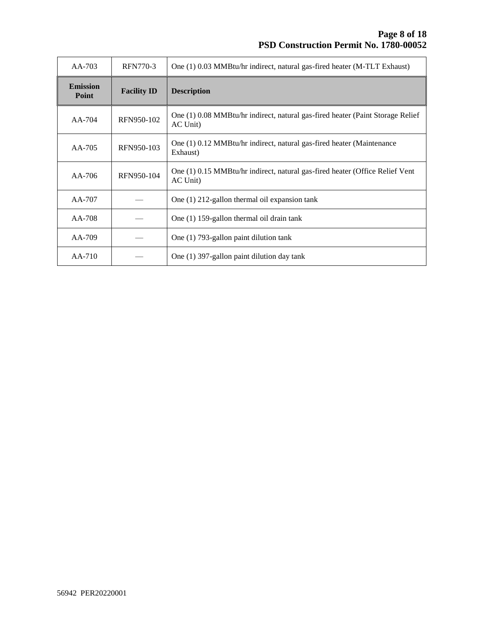| $AA-703$                 | <b>RFN770-3</b>    | One (1) 0.03 MMBtu/hr indirect, natural gas-fired heater (M-TLT Exhaust)                   |
|--------------------------|--------------------|--------------------------------------------------------------------------------------------|
| <b>Emission</b><br>Point | <b>Facility ID</b> | <b>Description</b>                                                                         |
| $AA-704$                 | RFN950-102         | One (1) 0.08 MMBtu/hr indirect, natural gas-fired heater (Paint Storage Relief<br>AC Unit) |
| $AA-705$                 | RFN950-103         | One (1) 0.12 MMB tu/hr indirect, natural gas-fired heater (Maintenance<br>Exhaust)         |
| $AA-706$                 | RFN950-104         | One (1) 0.15 MMB tu/hr indirect, natural gas-fired heater (Office Relief Vent<br>AC Unit)  |
| $AA-707$                 |                    | One $(1)$ 212-gallon thermal oil expansion tank                                            |
| AA-708                   |                    | One (1) 159-gallon thermal oil drain tank                                                  |
| AA-709                   |                    | One (1) 793-gallon paint dilution tank                                                     |
| AA-710                   |                    | One (1) 397-gallon paint dilution day tank                                                 |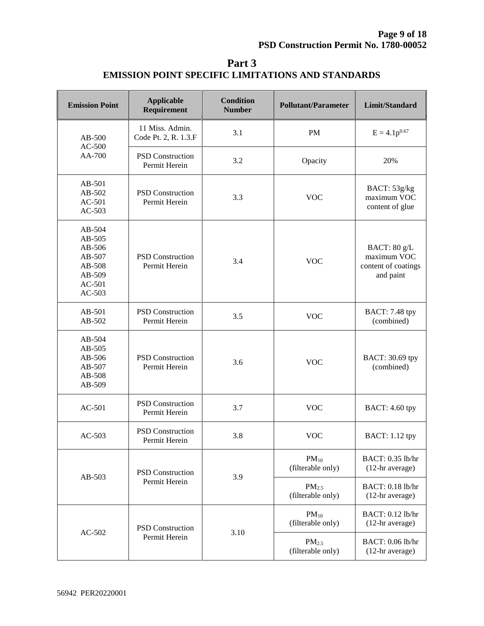| <b>Emission Point</b>                                                            | <b>Applicable</b><br>Requirement         | <b>Condition</b><br><b>Number</b> | <b>Pollutant/Parameter</b>             | Limit/Standard                                                  |
|----------------------------------------------------------------------------------|------------------------------------------|-----------------------------------|----------------------------------------|-----------------------------------------------------------------|
| $AB-500$<br>$AC-500$                                                             | 11 Miss. Admin.<br>Code Pt. 2, R. 1.3.F  | 3.1                               | <b>PM</b>                              | $E = 4.1p^{0.67}$                                               |
| AA-700                                                                           | <b>PSD</b> Construction<br>Permit Herein | 3.2                               | Opacity                                | 20%                                                             |
| $AB-501$<br>AB-502<br>AC-501<br>$AC-503$                                         | PSD Construction<br>Permit Herein        | 3.3                               | <b>VOC</b>                             | BACT: 53g/kg<br>maximum VOC<br>content of glue                  |
| $AB-504$<br>AB-505<br>AB-506<br>AB-507<br>AB-508<br>AB-509<br>AC-501<br>$AC-503$ | <b>PSD</b> Construction<br>Permit Herein | 3.4                               | <b>VOC</b>                             | BACT: 80 g/L<br>maximum VOC<br>content of coatings<br>and paint |
| $AB-501$<br>$AB-502$                                                             | <b>PSD</b> Construction<br>Permit Herein | 3.5                               | <b>VOC</b>                             | BACT: 7.48 tpy<br>(combined)                                    |
| $AB-504$<br>$AB-505$<br>AB-506<br>$AB-507$<br>AB-508<br>AB-509                   | <b>PSD</b> Construction<br>Permit Herein | 3.6                               | <b>VOC</b>                             | BACT: 30.69 tpy<br>(combined)                                   |
| $AC-501$                                                                         | <b>PSD</b> Construction<br>Permit Herein | 3.7                               | <b>VOC</b>                             | <b>BACT: 4.60 tpy</b>                                           |
| $AC-503$                                                                         | <b>PSD</b> Construction<br>Permit Herein | 3.8                               | <b>VOC</b>                             | <b>BACT: 1.12 tpy</b>                                           |
| AB-503                                                                           | PSD Construction<br>Permit Herein        | 3.9                               | $PM_{10}$<br>(filterable only)         | BACT: 0.35 lb/hr<br>(12-hr average)                             |
|                                                                                  |                                          |                                   | PM <sub>2.5</sub><br>(filterable only) | BACT: 0.18 lb/hr<br>(12-hr average)                             |
| $AC-502$                                                                         | <b>PSD</b> Construction                  | 3.10                              | $PM_{10}$<br>(filterable only)         | BACT: 0.12 lb/hr<br>(12-hr average)                             |
|                                                                                  | Permit Herein                            |                                   | PM <sub>2.5</sub><br>(filterable only) | BACT: 0.06 lb/hr<br>(12-hr average)                             |

**Part 3 EMISSION POINT SPECIFIC LIMITATIONS AND STANDARDS**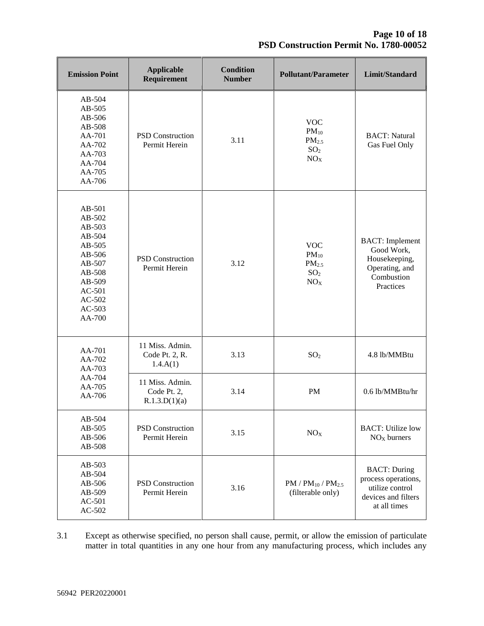| <b>Emission Point</b>                                                                                                                    | <b>Applicable</b><br>Requirement                | <b>Condition</b><br><b>Number</b> | <b>Pollutant/Parameter</b>                                                         | Limit/Standard                                                                                       |
|------------------------------------------------------------------------------------------------------------------------------------------|-------------------------------------------------|-----------------------------------|------------------------------------------------------------------------------------|------------------------------------------------------------------------------------------------------|
| AB-504<br>AB-505<br>AB-506<br>AB-508<br>AA-701<br>AA-702<br>AA-703<br>AA-704<br>AA-705<br>AA-706                                         | <b>PSD</b> Construction<br>Permit Herein        | 3.11                              | <b>VOC</b><br>$PM_{10}$<br>PM <sub>2.5</sub><br>SO <sub>2</sub><br>NO <sub>X</sub> | <b>BACT:</b> Natural<br>Gas Fuel Only                                                                |
| $AB-501$<br>AB-502<br>AB-503<br>AB-504<br>$AB-505$<br>AB-506<br>AB-507<br>AB-508<br>AB-509<br>$AC-501$<br>$AC-502$<br>$AC-503$<br>AA-700 | <b>PSD</b> Construction<br>Permit Herein        | 3.12                              | <b>VOC</b><br>$PM_{10}$<br>PM <sub>2.5</sub><br>SO <sub>2</sub><br>NO <sub>X</sub> | <b>BACT:</b> Implement<br>Good Work,<br>Housekeeping,<br>Operating, and<br>Combustion<br>Practices   |
| AA-701<br>AA-702<br>AA-703<br>AA-704<br>AA-705<br>AA-706                                                                                 | 11 Miss. Admin.<br>Code Pt. 2, R.<br>1.4.A(1)   | 3.13                              | SO <sub>2</sub>                                                                    | 4.8 lb/MMBtu                                                                                         |
|                                                                                                                                          | 11 Miss. Admin.<br>Code Pt. 2,<br>R.1.3.D(1)(a) | 3.14                              | <b>PM</b>                                                                          | 0.6 lb/MMBtu/hr                                                                                      |
| AB-504<br>AB-505<br>AB-506<br>AB-508                                                                                                     | <b>PSD</b> Construction<br>Permit Herein        | 3.15                              | NO <sub>X</sub>                                                                    | <b>BACT:</b> Utilize low<br>$NOX$ burners                                                            |
| AB-503<br>AB-504<br>AB-506<br>AB-509<br>AC-501<br>AC-502                                                                                 | <b>PSD</b> Construction<br>Permit Herein        | 3.16                              | $PM / PM_{10} / PM_{2.5}$<br>(filterable only)                                     | <b>BACT: During</b><br>process operations,<br>utilize control<br>devices and filters<br>at all times |

3.1 Except as otherwise specified, no person shall cause, permit, or allow the emission of particulate matter in total quantities in any one hour from any manufacturing process, which includes any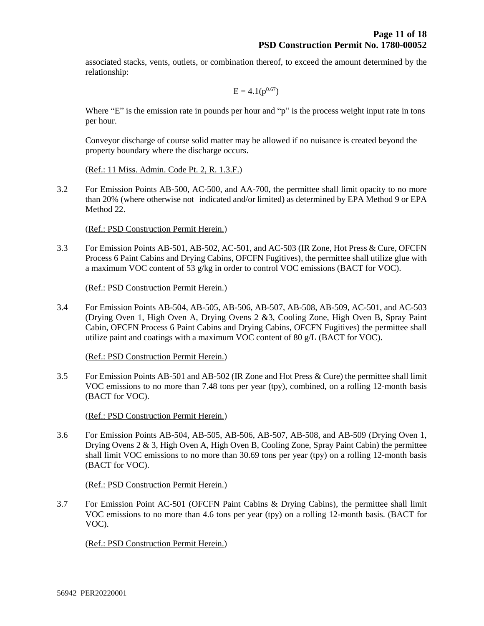associated stacks, vents, outlets, or combination thereof, to exceed the amount determined by the relationship:

$$
E = 4.1(p^{0.67})
$$

Where "E" is the emission rate in pounds per hour and "p" is the process weight input rate in tons per hour.

Conveyor discharge of course solid matter may be allowed if no nuisance is created beyond the property boundary where the discharge occurs.

(Ref.: 11 Miss. Admin. Code Pt. 2, R. 1.3.F.)

3.2 For Emission Points AB-500, AC-500, and AA-700, the permittee shall limit opacity to no more than 20% (where otherwise not indicated and/or limited) as determined by EPA Method 9 or EPA Method 22.

(Ref.: PSD Construction Permit Herein.)

3.3 For Emission Points AB-501, AB-502, AC-501, and AC-503 (IR Zone, Hot Press & Cure, OFCFN Process 6 Paint Cabins and Drying Cabins, OFCFN Fugitives), the permittee shall utilize glue with a maximum VOC content of 53  $g/kg$  in order to control VOC emissions (BACT for VOC).

(Ref.: PSD Construction Permit Herein.)

3.4 For Emission Points AB-504, AB-505, AB-506, AB-507, AB-508, AB-509, AC-501, and AC-503 (Drying Oven 1, High Oven A, Drying Ovens 2 &3, Cooling Zone, High Oven B, Spray Paint Cabin, OFCFN Process 6 Paint Cabins and Drying Cabins, OFCFN Fugitives) the permittee shall utilize paint and coatings with a maximum VOC content of 80  $g/L$  (BACT for VOC).

(Ref.: PSD Construction Permit Herein.)

3.5 For Emission Points AB-501 and AB-502 (IR Zone and Hot Press & Cure) the permittee shall limit VOC emissions to no more than 7.48 tons per year (tpy), combined, on a rolling 12-month basis (BACT for VOC).

(Ref.: PSD Construction Permit Herein.)

3.6 For Emission Points AB-504, AB-505, AB-506, AB-507, AB-508, and AB-509 (Drying Oven 1, Drying Ovens 2 & 3, High Oven A, High Oven B, Cooling Zone, Spray Paint Cabin) the permittee shall limit VOC emissions to no more than 30.69 tons per year (tpy) on a rolling 12-month basis (BACT for VOC).

(Ref.: PSD Construction Permit Herein.)

3.7 For Emission Point AC-501 (OFCFN Paint Cabins & Drying Cabins), the permittee shall limit VOC emissions to no more than 4.6 tons per year (tpy) on a rolling 12-month basis. (BACT for VOC).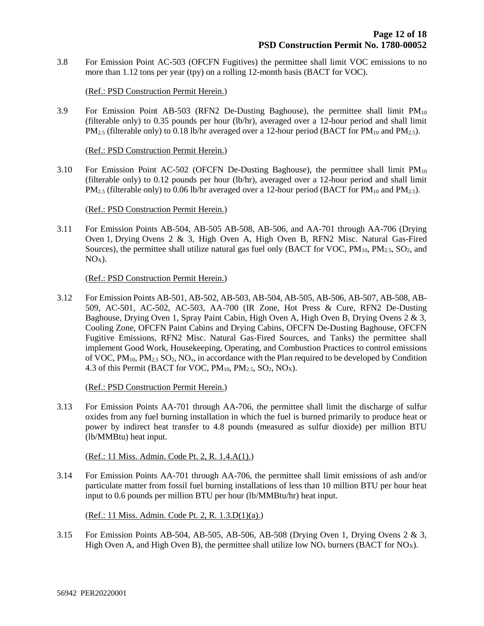3.8 For Emission Point AC-503 (OFCFN Fugitives) the permittee shall limit VOC emissions to no more than 1.12 tons per year (tpy) on a rolling 12-month basis (BACT for VOC).

#### (Ref.: PSD Construction Permit Herein.)

3.9 For Emission Point AB-503 (RFN2 De-Dusting Baghouse), the permittee shall limit PM<sup>10</sup> (filterable only) to 0.35 pounds per hour (lb/hr), averaged over a 12-hour period and shall limit  $PM_{2.5}$  (filterable only) to 0.18 lb/hr averaged over a 12-hour period (BACT for PM<sub>10</sub> and PM<sub>2.5</sub>).

(Ref.: PSD Construction Permit Herein.)

3.10 For Emission Point AC-502 (OFCFN De-Dusting Baghouse), the permittee shall limit PM<sub>10</sub> (filterable only) to 0.12 pounds per hour (lb/hr), averaged over a 12-hour period and shall limit  $PM_{2.5}$  (filterable only) to 0.06 lb/hr averaged over a 12-hour period (BACT for PM<sub>10</sub> and PM<sub>2.5</sub>).

#### (Ref.: PSD Construction Permit Herein.)

3.11 For Emission Points AB-504, AB-505 AB-508, AB-506, and AA-701 through AA-706 (Drying Oven 1, Drying Ovens 2 & 3, High Oven A, High Oven B, RFN2 Misc. Natural Gas-Fired Sources), the permittee shall utilize natural gas fuel only (BACT for VOC,  $PM_{10}$ ,  $PM_{2.5}$ , SO<sub>2</sub>, and  $NO<sub>x</sub>$ ).

#### (Ref.: PSD Construction Permit Herein.)

3.12 For Emission Points AB-501, AB-502, AB-503, AB-504, AB-505, AB-506, AB-507, AB-508, AB-509, AC-501, AC-502, AC-503, AA-700 (IR Zone, Hot Press & Cure, RFN2 De-Dusting Baghouse, Drying Oven 1, Spray Paint Cabin, High Oven A, High Oven B, Drying Ovens 2 & 3, Cooling Zone, OFCFN Paint Cabins and Drying Cabins, OFCFN De-Dusting Baghouse, OFCFN Fugitive Emissions, RFN2 Misc. Natural Gas-Fired Sources, and Tanks) the permittee shall implement Good Work, Housekeeping, Operating, and Combustion Practices to control emissions of VOC,  $PM_{10}$ ,  $PM_{2.5}$  SO<sub>2</sub>, NO<sub>x</sub>, in accordance with the Plan required to be developed by Condition 4.3 of this Permit (BACT for VOC,  $PM_{10}$ ,  $PM_{2.5}$ ,  $SO_2$ ,  $NO<sub>X</sub>$ ).

(Ref.: PSD Construction Permit Herein.)

3.13 For Emission Points AA-701 through AA-706, the permittee shall limit the discharge of sulfur oxides from any fuel burning installation in which the fuel is burned primarily to produce heat or power by indirect heat transfer to 4.8 pounds (measured as sulfur dioxide) per million BTU (lb/MMBtu) heat input.

(Ref.: 11 Miss. Admin. Code Pt. 2, R. 1.4.A(1).)

3.14 For Emission Points AA-701 through AA-706, the permittee shall limit emissions of ash and/or particulate matter from fossil fuel burning installations of less than 10 million BTU per hour heat input to 0.6 pounds per million BTU per hour (lb/MMBtu/hr) heat input.

(Ref.: 11 Miss. Admin. Code Pt. 2, R. 1.3.D(1)(a).)

3.15 For Emission Points AB-504, AB-505, AB-506, AB-508 (Drying Oven 1, Drying Ovens 2 & 3, High Oven A, and High Oven B), the permittee shall utilize low  $NO_x$  burners (BACT for  $NO_x$ ).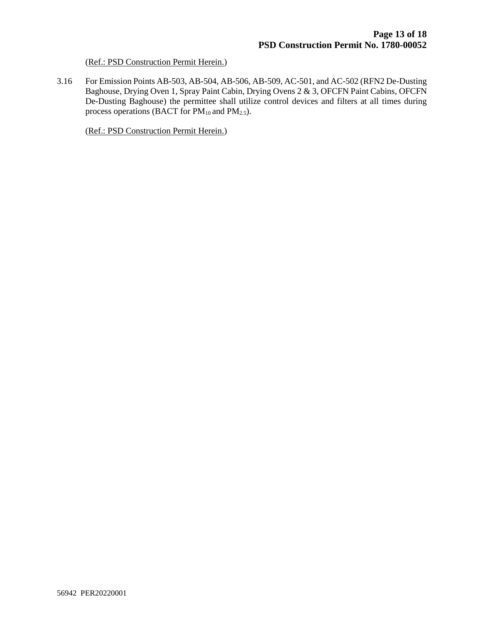#### (Ref.: PSD Construction Permit Herein.)

3.16 For Emission Points AB-503, AB-504, AB-506, AB-509, AC-501, and AC-502 (RFN2 De-Dusting Baghouse, Drying Oven 1, Spray Paint Cabin, Drying Ovens 2 & 3, OFCFN Paint Cabins, OFCFN De-Dusting Baghouse) the permittee shall utilize control devices and filters at all times during process operations (BACT for  $PM_{10}$  and  $PM_{2.5}$ ).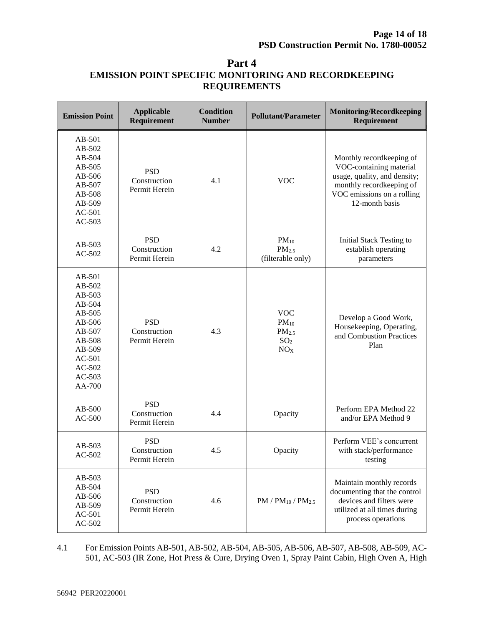| Part 4                                                      |
|-------------------------------------------------------------|
| <b>EMISSION POINT SPECIFIC MONITORING AND RECORDKEEPING</b> |
| <b>REQUIREMENTS</b>                                         |

| <b>Emission Point</b>                                                                                                                  | <b>Applicable</b><br>Requirement            | <b>Condition</b><br><b>Number</b> | <b>Pollutant/Parameter</b>                                                         | <b>Monitoring/Recordkeeping</b><br>Requirement                                                                                                                  |
|----------------------------------------------------------------------------------------------------------------------------------------|---------------------------------------------|-----------------------------------|------------------------------------------------------------------------------------|-----------------------------------------------------------------------------------------------------------------------------------------------------------------|
| AB-501<br>AB-502<br>AB-504<br>AB-505<br>AB-506<br>AB-507<br>AB-508<br>AB-509<br>$AC-501$<br>$AC-503$                                   | <b>PSD</b><br>Construction<br>Permit Herein | 4.1                               | <b>VOC</b>                                                                         | Monthly recordkeeping of<br>VOC-containing material<br>usage, quality, and density;<br>monthly recordkeeping of<br>VOC emissions on a rolling<br>12-month basis |
| AB-503<br>$AC-502$                                                                                                                     | <b>PSD</b><br>Construction<br>Permit Herein | 4.2                               | $PM_{10}$<br>PM <sub>2.5</sub><br>(filterable only)                                | <b>Initial Stack Testing to</b><br>establish operating<br>parameters                                                                                            |
| AB-501<br>AB-502<br>AB-503<br>AB-504<br>$AB-505$<br>AB-506<br>AB-507<br>AB-508<br>AB-509<br>$AC-501$<br>$AC-502$<br>$AC-503$<br>AA-700 | <b>PSD</b><br>Construction<br>Permit Herein | 4.3                               | <b>VOC</b><br>$PM_{10}$<br>PM <sub>2.5</sub><br>SO <sub>2</sub><br>NO <sub>X</sub> | Develop a Good Work,<br>Housekeeping, Operating,<br>and Combustion Practices<br>Plan                                                                            |
| $AB-500$<br>$AC-500$                                                                                                                   | <b>PSD</b><br>Construction<br>Permit Herein | 4.4                               | Opacity                                                                            | Perform EPA Method 22<br>and/or EPA Method 9                                                                                                                    |
| AB-503<br>$AC-502$                                                                                                                     | <b>PSD</b><br>Construction<br>Permit Herein | 4.5                               | Opacity                                                                            | Perform VEE's concurrent<br>with stack/performance<br>testing                                                                                                   |
| AB-503<br>AB-504<br>AB-506<br>AB-509<br>AC-501<br>$AC-502$                                                                             | <b>PSD</b><br>Construction<br>Permit Herein | 4.6                               | $PM / PM_{10} / PM_{2.5}$                                                          | Maintain monthly records<br>documenting that the control<br>devices and filters were<br>utilized at all times during<br>process operations                      |

4.1 For Emission Points AB-501, AB-502, AB-504, AB-505, AB-506, AB-507, AB-508, AB-509, AC-501, AC-503 (IR Zone, Hot Press & Cure, Drying Oven 1, Spray Paint Cabin, High Oven A, High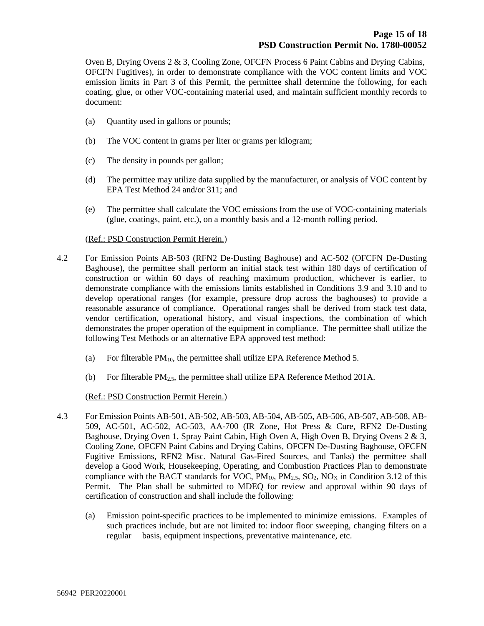Oven B, Drying Ovens 2 & 3, Cooling Zone, OFCFN Process 6 Paint Cabins and Drying Cabins, OFCFN Fugitives), in order to demonstrate compliance with the VOC content limits and VOC emission limits in Part 3 of this Permit, the permittee shall determine the following, for each coating, glue, or other VOC-containing material used, and maintain sufficient monthly records to document:

- (a) Quantity used in gallons or pounds;
- (b) The VOC content in grams per liter or grams per kilogram;
- (c) The density in pounds per gallon;
- (d) The permittee may utilize data supplied by the manufacturer, or analysis of VOC content by EPA Test Method 24 and/or 311; and
- (e) The permittee shall calculate the VOC emissions from the use of VOC-containing materials (glue, coatings, paint, etc.), on a monthly basis and a 12-month rolling period.

#### (Ref.: PSD Construction Permit Herein.)

- 4.2 For Emission Points AB-503 (RFN2 De-Dusting Baghouse) and AC-502 (OFCFN De-Dusting Baghouse), the permittee shall perform an initial stack test within 180 days of certification of construction or within 60 days of reaching maximum production, whichever is earlier, to demonstrate compliance with the emissions limits established in Conditions 3.9 and 3.10 and to develop operational ranges (for example, pressure drop across the baghouses) to provide a reasonable assurance of compliance. Operational ranges shall be derived from stack test data, vendor certification, operational history, and visual inspections, the combination of which demonstrates the proper operation of the equipment in compliance. The permittee shall utilize the following Test Methods or an alternative EPA approved test method:
	- (a) For filterable  $PM_{10}$ , the permittee shall utilize EPA Reference Method 5.
	- (b) For filterable  $PM_{2.5}$ , the permittee shall utilize EPA Reference Method 201A.

- 4.3 For Emission Points AB-501, AB-502, AB-503, AB-504, AB-505, AB-506, AB-507, AB-508, AB-509, AC-501, AC-502, AC-503, AA-700 (IR Zone, Hot Press & Cure, RFN2 De-Dusting Baghouse, Drying Oven 1, Spray Paint Cabin, High Oven A, High Oven B, Drying Ovens 2 & 3, Cooling Zone, OFCFN Paint Cabins and Drying Cabins, OFCFN De-Dusting Baghouse, OFCFN Fugitive Emissions, RFN2 Misc. Natural Gas-Fired Sources, and Tanks) the permittee shall develop a Good Work, Housekeeping, Operating, and Combustion Practices Plan to demonstrate compliance with the BACT standards for VOC,  $PM_{10}$ ,  $PM_{2.5}$ ,  $SO_2$ ,  $NO<sub>X</sub>$  in Condition 3.12 of this Permit. The Plan shall be submitted to MDEQ for review and approval within 90 days of certification of construction and shall include the following:
	- (a) Emission point-specific practices to be implemented to minimize emissions. Examples of such practices include, but are not limited to: indoor floor sweeping, changing filters on a regular basis, equipment inspections, preventative maintenance, etc.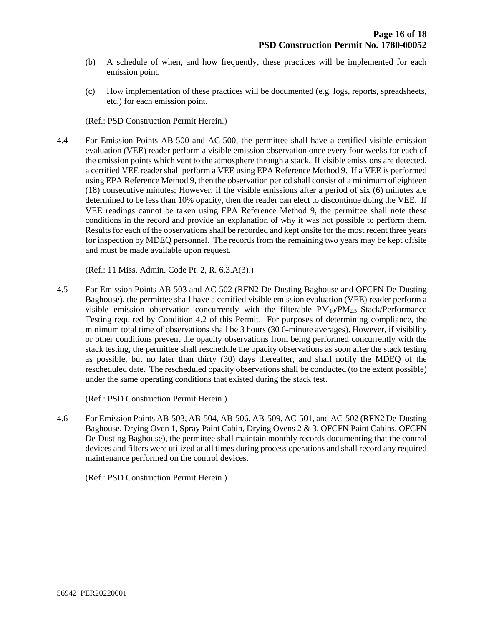- (b) A schedule of when, and how frequently, these practices will be implemented for each emission point.
- (c) How implementation of these practices will be documented (e.g. logs, reports, spreadsheets, etc.) for each emission point.

#### (Ref.: PSD Construction Permit Herein.)

4.4 For Emission Points AB-500 and AC-500, the permittee shall have a certified visible emission evaluation (VEE) reader perform a visible emission observation once every four weeks for each of the emission points which vent to the atmosphere through a stack. If visible emissions are detected, a certified VEE reader shall perform a VEE using EPA Reference Method 9. If a VEE is performed using EPA Reference Method 9, then the observation period shall consist of a minimum of eighteen (18) consecutive minutes; However, if the visible emissions after a period of six (6) minutes are determined to be less than 10% opacity, then the reader can elect to discontinue doing the VEE. If VEE readings cannot be taken using EPA Reference Method 9, the permittee shall note these conditions in the record and provide an explanation of why it was not possible to perform them. Results for each of the observations shall be recorded and kept onsite for the most recent three years for inspection by MDEQ personnel. The records from the remaining two years may be kept offsite and must be made available upon request.

#### (Ref.: 11 Miss. Admin. Code Pt. 2, R. 6.3.A(3).)

4.5 For Emission Points AB-503 and AC-502 (RFN2 De-Dusting Baghouse and OFCFN De-Dusting Baghouse), the permittee shall have a certified visible emission evaluation (VEE) reader perform a visible emission observation concurrently with the filterable  $PM_{10}/PM_{2.5}$  Stack/Performance Testing required by Condition 4.2 of this Permit. For purposes of determining compliance, the minimum total time of observations shall be 3 hours (30 6-minute averages). However, if visibility or other conditions prevent the opacity observations from being performed concurrently with the stack testing, the permittee shall reschedule the opacity observations as soon after the stack testing as possible, but no later than thirty (30) days thereafter, and shall notify the MDEQ of the rescheduled date. The rescheduled opacity observations shall be conducted (to the extent possible) under the same operating conditions that existed during the stack test.

#### (Ref.: PSD Construction Permit Herein.)

4.6 For Emission Points AB-503, AB-504, AB-506, AB-509, AC-501, and AC-502 (RFN2 De-Dusting Baghouse, Drying Oven 1, Spray Paint Cabin, Drying Ovens 2 & 3, OFCFN Paint Cabins, OFCFN De-Dusting Baghouse), the permittee shall maintain monthly records documenting that the control devices and filters were utilized at all times during process operations and shall record any required maintenance performed on the control devices.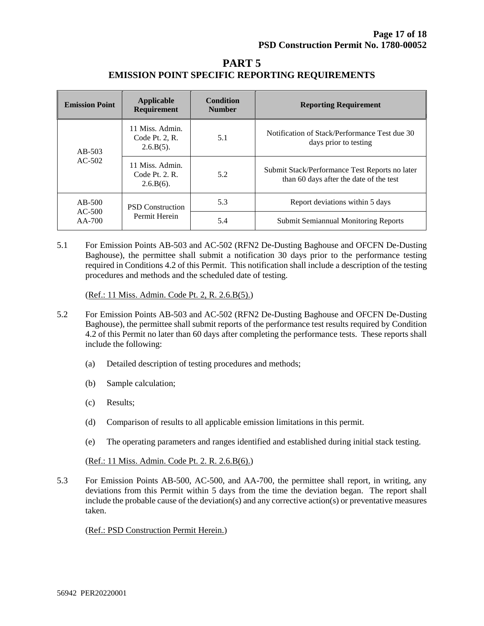| PART 5                                                |  |
|-------------------------------------------------------|--|
| <b>EMISSION POINT SPECIFIC REPORTING REQUIREMENTS</b> |  |

| <b>Emission Point</b>            | Applicable<br><b>Requirement</b>                  | <b>Condition</b><br><b>Number</b> | <b>Reporting Requirement</b>                                                              |
|----------------------------------|---------------------------------------------------|-----------------------------------|-------------------------------------------------------------------------------------------|
| $AB-503$                         | 11 Miss. Admin.<br>Code Pt. 2, R.<br>$2.6.B(5)$ . | 5.1                               | Notification of Stack/Performance Test due 30<br>days prior to testing                    |
| $AC-502$                         | 11 Miss. Admin.<br>Code Pt. 2. R.<br>$2.6.B(6)$ . | 5.2                               | Submit Stack/Performance Test Reports no later<br>than 60 days after the date of the test |
| $AB-500$<br>$AC-500$<br>$AA-700$ | <b>PSD</b> Construction                           | 5.3                               | Report deviations within 5 days                                                           |
|                                  | Permit Herein                                     | 5.4                               | <b>Submit Semiannual Monitoring Reports</b>                                               |

5.1 For Emission Points AB-503 and AC-502 (RFN2 De-Dusting Baghouse and OFCFN De-Dusting Baghouse), the permittee shall submit a notification 30 days prior to the performance testing required in Conditions 4.2 of this Permit. This notification shall include a description of the testing procedures and methods and the scheduled date of testing.

(Ref.: 11 Miss. Admin. Code Pt. 2, R. 2.6.B(5).)

- 5.2 For Emission Points AB-503 and AC-502 (RFN2 De-Dusting Baghouse and OFCFN De-Dusting Baghouse), the permittee shall submit reports of the performance test results required by Condition 4.2 of this Permit no later than 60 days after completing the performance tests. These reports shall include the following:
	- (a) Detailed description of testing procedures and methods;
	- (b) Sample calculation;
	- (c) Results;
	- (d) Comparison of results to all applicable emission limitations in this permit.
	- (e) The operating parameters and ranges identified and established during initial stack testing.

(Ref.: 11 Miss. Admin. Code Pt. 2. R. 2.6.B(6).)

5.3 For Emission Points AB-500, AC-500, and AA-700, the permittee shall report, in writing, any deviations from this Permit within 5 days from the time the deviation began. The report shall include the probable cause of the deviation(s) and any corrective action(s) or preventative measures taken.